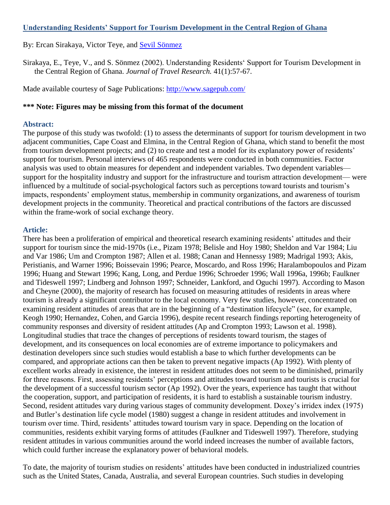# **Understanding Residents' Support for Tourism Development in the Central Region of Ghana**

By: Ercan Sirakaya, Victor Teye, and [Sevil Sönmez](http://libres.uncg.edu/ir/uncg/clist.aspx?id=3232)

Sirakaya, E., Teye, V., and S. Sönmez (2002). Understanding Residents‗ Support for Tourism Development in the Central Region of Ghana. *Journal of Travel Research.* 41(1):57-67.

Made available courtesy of Sage Publications:<http://www.sagepub.com/>

### **\*\*\* Note: Figures may be missing from this format of the document**

### **Abstract:**

The purpose of this study was twofold: (1) to assess the determinants of support for tourism development in two adjacent communities, Cape Coast and Elmina, in the Central Region of Ghana, which stand to benefit the most from tourism development projects; and (2) to create and test a model for its explanatory power of residents' support for tourism. Personal interviews of 465 respondents were conducted in both communities. Factor analysis was used to obtain measures for dependent and independent variables. Two dependent variables support for the hospitality industry and support for the infrastructure and tourism attraction development— were influenced by a multitude of social-psychological factors such as perceptions toward tourists and tourism's impacts, respondents' employment status, membership in community organizations, and awareness of tourism development projects in the community. Theoretical and practical contributions of the factors are discussed within the frame-work of social exchange theory.

### **Article:**

There has been a proliferation of empirical and theoretical research examining residents' attitudes and their support for tourism since the mid-1970s (i.e., Pizam 1978; Belisle and Hoy 1980; Sheldon and Var 1984; Liu and Var 1986; Um and Crompton 1987; Allen et al. 1988; Canan and Hennessy 1989; Madrigal 1993; Akis, Peristianis, and Warner 1996; Boissevain 1996; Pearce, Moscardo, and Ross 1996; Haralambopoulos and Pizam 1996; Huang and Stewart 1996; Kang, Long, and Perdue 1996; Schroeder 1996; Wall 1996a, 1996b; Faulkner and Tideswell 1997; Lindberg and Johnson 1997; Schneider, Lankford, and Oguchi 1997). According to Mason and Cheyne (2000), the majority of research has focused on measuring attitudes of residents in areas where tourism is already a significant contributor to the local economy. Very few studies, however, concentrated on examining resident attitudes of areas that are in the beginning of a "destination lifecycle" (see, for example, Keogh 1990; Hernandez, Cohen, and Garcia 1996), despite recent research findings reporting heterogeneity of community responses and diversity of resident attitudes (Ap and Crompton 1993; Lawson et al. 1998). Longitudinal studies that trace the changes of perceptions of residents toward tourism, the stages of development, and its consequences on local economies are of extreme importance to policymakers and destination developers since such studies would establish a base to which further developments can be compared, and appropriate actions can then be taken to prevent negative impacts (Ap 1992). With plenty of excellent works already in existence, the interest in resident attitudes does not seem to be diminished, primarily for three reasons. First, assessing residents' perceptions and attitudes toward tourism and tourists is crucial for the development of a successful tourism sector (Ap 1992). Over the years, experience has taught that without the cooperation, support, and participation of residents, it is hard to establish a sustainable tourism industry. Second, resident attitudes vary during various stages of community development. Doxey's irridex index (1975) and Butler's destination life cycle model (1980) suggest a change in resident attitudes and involvement in tourism over time. Third, residents' attitudes toward tourism vary in space. Depending on the location of communities, residents exhibit varying forms of attitudes (Faulkner and Tideswell 1997). Therefore, studying resident attitudes in various communities around the world indeed increases the number of available factors, which could further increase the explanatory power of behavioral models.

To date, the majority of tourism studies on residents' attitudes have been conducted in industrialized countries such as the United States, Canada, Australia, and several European countries. Such studies in developing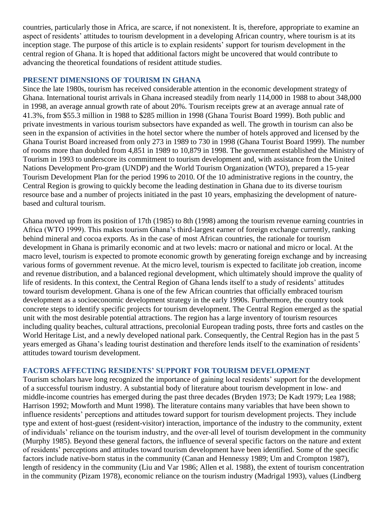countries, particularly those in Africa, are scarce, if not nonexistent. It is, therefore, appropriate to examine an aspect of residents' attitudes to tourism development in a developing African country, where tourism is at its inception stage. The purpose of this article is to explain residents' support for tourism development in the central region of Ghana. It is hoped that additional factors might be uncovered that would contribute to advancing the theoretical foundations of resident attitude studies.

# **PRESENT DIMENSIONS OF TOURISM IN GHANA**

Since the late 1980s, tourism has received considerable attention in the economic development strategy of Ghana. International tourist arrivals in Ghana increased steadily from nearly 114,000 in 1988 to about 348,000 in 1998, an average annual growth rate of about 20%. Tourism receipts grew at an average annual rate of 41.3%, from \$55.3 million in 1988 to \$285 million in 1998 (Ghana Tourist Board 1999). Both public and private investments in various tourism subsectors have expanded as well. The growth in tourism can also be seen in the expansion of activities in the hotel sector where the number of hotels approved and licensed by the Ghana Tourist Board increased from only 273 in 1989 to 730 in 1998 (Ghana Tourist Board 1999). The number of rooms more than doubled from 4,851 in 1989 to 10,879 in 1998. The government established the Ministry of Tourism in 1993 to underscore its commitment to tourism development and, with assistance from the United Nations Development Pro-gram (UNDP) and the World Tourism Organization (WTO), prepared a 15-year Tourism Development Plan for the period 1996 to 2010. Of the 10 administrative regions in the country, the Central Region is growing to quickly become the leading destination in Ghana due to its diverse tourism resource base and a number of projects initiated in the past 10 years, emphasizing the development of naturebased and cultural tourism.

Ghana moved up from its position of 17th (1985) to 8th (1998) among the tourism revenue earning countries in Africa (WTO 1999). This makes tourism Ghana's third-largest earner of foreign exchange currently, ranking behind mineral and cocoa exports. As in the case of most African countries, the rationale for tourism development in Ghana is primarily economic and at two levels: macro or national and micro or local. At the macro level, tourism is expected to promote economic growth by generating foreign exchange and by increasing various forms of government revenue. At the micro level, tourism is expected to facilitate job creation, income and revenue distribution, and a balanced regional development, which ultimately should improve the quality of life of residents. In this context, the Central Region of Ghana lends itself to a study of residents' attitudes toward tourism development. Ghana is one of the few African countries that officially embraced tourism development as a socioeconomic development strategy in the early 1990s. Furthermore, the country took concrete steps to identify specific projects for tourism development. The Central Region emerged as the spatial unit with the most desirable potential attractions. The region has a large inventory of tourism resources including quality beaches, cultural attractions, precolonial European trading posts, three forts and castles on the World Heritage List, and a newly developed national park. Consequently, the Central Region has in the past 5 years emerged as Ghana's leading tourist destination and therefore lends itself to the examination of residents' attitudes toward tourism development.

### **FACTORS AFFECTING RESIDENTS' SUPPORT FOR TOURISM DEVELOPMENT**

Tourism scholars have long recognized the importance of gaining local residents' support for the development of a successful tourism industry. A substantial body of literature about tourism development in low- and middle-income countries has emerged during the past three decades (Bryden 1973; De Kadt 1979; Lea 1988; Harrison 1992; Mowforth and Munt 1998). The literature contains many variables that have been shown to influence residents' perceptions and attitudes toward support for tourism development projects. They include type and extent of host-guest (resident-visitor) interaction, importance of the industry to the community, extent of individuals' reliance on the tourism industry, and the over-all level of tourism development in the community (Murphy 1985). Beyond these general factors, the influence of several specific factors on the nature and extent of residents' perceptions and attitudes toward tourism development have been identified. Some of the specific factors include native-born status in the community (Canan and Hennessy 1989; Um and Crompton 1987), length of residency in the community (Liu and Var 1986; Allen et al. 1988), the extent of tourism concentration in the community (Pizam 1978), economic reliance on the tourism industry (Madrigal 1993), values (Lindberg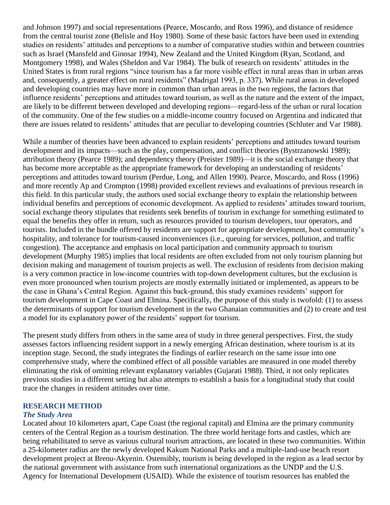and Johnson 1997) and social representations (Pearce, Moscardo, and Ross 1996), and distance of residence from the central tourist zone (Belisle and Hoy 1980). Some of these basic factors have been used in extending studies on residents' attitudes and perceptions to a number of comparative studies within and between countries such as Israel (Mansfeld and Ginosar 1994), New Zealand and the United Kingdom (Ryan, Scotland, and Montgomery 1998), and Wales (Sheldon and Var 1984). The bulk of research on residents' attitudes in the United States is from rural regions "since tourism has a far more visible effect in rural areas than in urban areas and, consequently, a greater effect on rural residents" (Madrigal 1993, p. 337). While rural areas in developed and developing countries may have more in common than urban areas in the two regions, the factors that influence residents' perceptions and attitudes toward tourism, as well as the nature and the extent of the impact, are likely to be different between developed and developing regions—regard-less of the urban or rural location of the community. One of the few studies on a middle-income country focused on Argentina and indicated that there are issues related to residents' attitudes that are peculiar to developing countries (Schluter and Var 1988).

While a number of theories have been advanced to explain residents' perceptions and attitudes toward tourism development and its impacts—such as the play, compensation, and conflict theories (Bystrzanowski 1989); attribution theory (Pearce 1989); and dependency theory (Preister 1989)—it is the social exchange theory that has become more acceptable as the appropriate framework for developing an understanding of residents' perceptions and attitudes toward tourism (Perdue, Long, and Allen 1990). Pearce, Moscardo, and Ross (1996) and more recently Ap and Crompton (1998) provided excellent reviews and evaluations of previous research in this field. In this particular study, the authors used social exchange theory to explain the relationship between individual benefits and perceptions of economic development. As applied to residents' attitudes toward tourism, social exchange theory stipulates that residents seek benefits of tourism in exchange for something estimated to equal the benefits they offer in return, such as resources provided to tourism developers, tour operators, and tourists. Included in the bundle offered by residents are support for appropriate development, host community's hospitality, and tolerance for tourism-caused inconveniences (i.e., queuing for services, pollution, and traffic congestion). The acceptance and emphasis on local participation and community approach to tourism development (Murphy 1985) implies that local residents are often excluded from not only tourism planning but decision making and management of tourism projects as well. The exclusion of residents from decision making is a very common practice in low-income countries with top-down development cultures, but the exclusion is even more pronounced when tourism projects are mostly externally initiated or implemented, as appears to be the case in Ghana's Central Region. Against this back-ground, this study examines residents' support for tourism development in Cape Coast and Elmina. Specifically, the purpose of this study is twofold: (1) to assess the determinants of support for tourism development in the two Ghanaian communities and (2) to create and test a model for its explanatory power of the residents' support for tourism.

The present study differs from others in the same area of study in three general perspectives. First, the study assesses factors influencing resident support in a newly emerging African destination, where tourism is at its inception stage. Second, the study integrates the findings of earlier research on the same issue into one comprehensive study, where the combined effect of all possible variables are measured in one model thereby eliminating the risk of omitting relevant explanatory variables (Gujarati 1988). Third, it not only replicates previous studies in a different setting but also attempts to establish a basis for a longitudinal study that could trace the changes in resident attitudes over time.

### **RESEARCH METHOD**

### *The Study Area*

Located about 10 kilometers apart, Cape Coast (the regional capital) and Elmina are the primary community centers of the Central Region as a tourism destination. The three world heritage forts and castles, which are being rehabilitated to serve as various cultural tourism attractions, are located in these two communities. Within a 25-kilometer radius are the newly developed Kakum National Parks and a multiple-land-use beach resort development project at Brenu-Akyenin. Ostensibly, tourism is being developed in the region as a lead sector by the national government with assistance from such international organizations as the UNDP and the U.S. Agency for International Development (USAID). While the existence of tourism resources has enabled the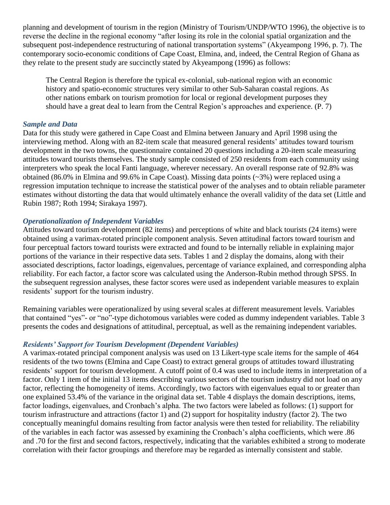planning and development of tourism in the region (Ministry of Tourism/UNDP/WTO 1996), the objective is to reverse the decline in the regional economy "after losing its role in the colonial spatial organization and the subsequent post-independence restructuring of national transportation systems" (Akyeampong 1996, p. 7). The contemporary socio-economic conditions of Cape Coast, Elmina, and, indeed, the Central Region of Ghana as they relate to the present study are succinctly stated by Akyeampong (1996) as follows:

The Central Region is therefore the typical ex-colonial, sub-national region with an economic history and spatio-economic structures very similar to other Sub-Saharan coastal regions. As other nations embark on tourism promotion for local or regional development purposes they should have a great deal to learn from the Central Region's approaches and experience. (P. 7)

# *Sample and Data*

Data for this study were gathered in Cape Coast and Elmina between January and April 1998 using the interviewing method. Along with an 82-item scale that measured general residents' attitudes toward tourism development in the two towns, the questionnaire contained 20 questions including a 20-item scale measuring attitudes toward tourists themselves. The study sample consisted of 250 residents from each community using interpreters who speak the local Fanti language, wherever necessary. An overall response rate of 92.8% was obtained (86.0% in Elmina and 99.6% in Cape Coast). Missing data points  $(\sim 3\%)$  were replaced using a regression imputation technique to increase the statistical power of the analyses and to obtain reliable parameter estimates without distorting the data that would ultimately enhance the overall validity of the data set (Little and Rubin 1987; Roth 1994; Sirakaya 1997).

# *Operationalization of Independent Variables*

Attitudes toward tourism development (82 items) and perceptions of white and black tourists (24 items) were obtained using a varimax-rotated principle component analysis. Seven attitudinal factors toward tourism and four perceptual factors toward tourists were extracted and found to be internally reliable in explaining major portions of the variance in their respective data sets. Tables 1 and 2 display the domains, along with their associated descriptions, factor loadings, eigenvalues, percentage of variance explained, and corresponding alpha reliability. For each factor, a factor score was calculated using the Anderson-Rubin method through SPSS. In the subsequent regression analyses, these factor scores were used as independent variable measures to explain residents' support for the tourism industry.

Remaining variables were operationalized by using several scales at different measurement levels. Variables that contained "yes"- or "no"-type dichotomous variables were coded as dummy independent variables. Table 3 presents the codes and designations of attitudinal, perceptual, as well as the remaining independent variables.

# *Residents' Support for Tourism Development (Dependent Variables)*

A varimax-rotated principal component analysis was used on 13 Likert-type scale items for the sample of 464 residents of the two towns (Elmina and Cape Coast) to extract general groups of attitudes toward illustrating residents' support for tourism development. A cutoff point of 0.4 was used to include items in interpretation of a factor. Only 1 item of the initial 13 items describing various sectors of the tourism industry did not load on any factor, reflecting the homogeneity of items. Accordingly, two factors with eigenvalues equal to or greater than one explained 53.4% of the variance in the original data set. Table 4 displays the domain descriptions, items, factor loadings, eigenvalues, and Cronbach's alpha. The two factors were labeled as follows: (1) support for tourism infrastructure and attractions (factor 1) and (2) support for hospitality industry (factor 2). The two conceptually meaningful domains resulting from factor analysis were then tested for reliability. The reliability of the variables in each factor was assessed by examining the Cronbach's alpha coefficients, which were .86 and .70 for the first and second factors, respectively, indicating that the variables exhibited a strong to moderate correlation with their factor groupings and therefore may be regarded as internally consistent and stable.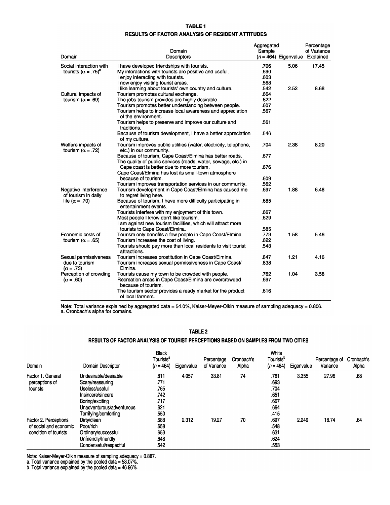**TABLE 1** RESULTS OF FACTOR ANALYSIS OF RESIDENT ATTITUDES

| Domain                                                              | Domain<br>Descriptors                                                                                                                                                                                                                                                     | Aggregated<br>Sample                 | $(n = 464)$ Eigenvalue Explained | Percentage<br>of Variance |
|---------------------------------------------------------------------|---------------------------------------------------------------------------------------------------------------------------------------------------------------------------------------------------------------------------------------------------------------------------|--------------------------------------|----------------------------------|---------------------------|
| Social interaction with<br>tourists ( $\alpha = .75$ ) <sup>a</sup> | I have developed friendships with tourists.<br>My interactions with tourists are positive and useful.<br>I enjoy interacting with tourists.<br>I now enjoy visiting tourist areas.                                                                                        | .706<br>.690<br>.603<br>.568         | 5.06                             | 17.45                     |
| Cultural impacts of<br>tourism ( $\alpha = .69$ )                   | I like learning about tourists' own country and culture.<br>Tourism promotes cultural exchange.<br>The jobs tourism provides are highly desirable.<br>Tourism promotes better understanding between people.<br>Tourism helps to increase local awareness and appreciation | .542<br>.664<br>.622<br>.607<br>.567 | 2.52                             | 8.68                      |
|                                                                     | of the environment.<br>Tourism helps to preserve and improve our culture and<br>traditions.<br>Because of tourism development, I have a better appreciation                                                                                                               | .561<br>.546                         |                                  |                           |
| Welfare impacts of<br>tourism ( $\alpha$ = .72)                     | of my culture.<br>Tourism improves public utilities (water, electricity, telephone,<br>etc.) in our community.                                                                                                                                                            | .704                                 | 2.38                             | 8.20                      |
|                                                                     | Because of tourism, Cape Coast/Elmina has better roads.<br>The quality of public services (roads, water, sewage, etc.) in<br>Cape coast is better due to more tourism.<br>Cape Coast/Elmina has lost its small-town atmosphere                                            | .677<br>.676                         |                                  |                           |
|                                                                     | because of tourism.<br>Tourism improves transportation services in our community.                                                                                                                                                                                         | .609<br>.562                         |                                  |                           |
| Negative interference<br>of tourism in daily                        | Tourism development in Cape Coast/Elmina has caused me<br>to regret living here.                                                                                                                                                                                          | .697                                 | 1.88                             | 6.48                      |
| life ( $\alpha = .70$ )                                             | Because of tourism, I have more difficulty participating in<br>entertainment events.                                                                                                                                                                                      | .685                                 |                                  |                           |
|                                                                     | Tourists interfere with my enjoyment of this town.<br>Most people I know don't like tourism.<br>I am against new tourism facilities, which will attract more                                                                                                              | .667<br>.629                         |                                  |                           |
| Economic costs of<br>tourism ( $\alpha = .65$ )                     | tourists to Cape Coast/Elmina.<br>Tourism only benefits a few people in Cape Coast/Elmina.<br>Tourism increases the cost of living.<br>Tourists should pay more than local residents to visit tourist                                                                     | .585<br>.779<br>.622<br>.543         | 1.58                             | 5.46                      |
| Sexual permissiveness<br>due to tourism<br>$(\alpha = .73)$         | attractions.<br>Tourism increases prostitution in Cape Coast/Elmina.<br>Tourism increases sexual permissiveness in Cape Coast/<br>Elmina.                                                                                                                                 | .847<br>.838                         | 1.21                             | 4.16                      |
| Perception of crowding<br>$(\alpha = .60)$                          | Tourists cause my town to be crowded with people.<br>Recreation areas in Cape Coast/Elmina are overcrowded<br>because of tourism.                                                                                                                                         | .762<br>.697                         | 1.04                             | 3.58                      |
|                                                                     | The tourism sector provides a ready market for the product<br>of local farmers.                                                                                                                                                                                           | .616                                 |                                  |                           |

Note: Total variance explained by aggregated data = 54.0%, Kaiser-Meyer-Olkin measure of sampling adequacy = 0.806.<br>a. Cronbach's alpha for domains.

**TABLE 2** 

#### RESULTS OF FACTOR ANALYSIS OF TOURIST PERCEPTIONS BASED ON SAMPLES FROM TWO CITIES

| Domain                                                                   | Domain Descriptor                                                                                                                                         | <b>Black</b><br>Tourists <sup>a</sup><br>$(n = 464)$    | Eigenvalue | Percentage<br>of Variance | Cronbach's<br>Alpha | White<br>Tourists <sup>b</sup><br>$(n = 464)$          | Eigenvalue | Percentage of<br>Variance | Cronbach's<br>Alpha |
|--------------------------------------------------------------------------|-----------------------------------------------------------------------------------------------------------------------------------------------------------|---------------------------------------------------------|------------|---------------------------|---------------------|--------------------------------------------------------|------------|---------------------------|---------------------|
| Factor 1. General<br>perceptions of<br>tourists                          | Undesirable/desirable<br>Scary/reassuring<br>Useless/useful<br>Insincere/sincere<br>Boring/exciting<br>Unadventurous/adventurous<br>Terrifying/comforting | .811<br>.771<br>.765<br>.742<br>.717<br>.621<br>$-.550$ | 4.057      | 33.81                     | .74                 | .761<br>.693<br>.704<br>.651<br>.667<br>.664<br>$-415$ | 3.355      | 27.96                     | .68                 |
| Factor 2. Perceptions<br>of social and economic<br>condition of tourists | Dirty/clean<br>Poor/rich<br>Ordinary/successful<br>Unfriendly/friendly<br>Condenseful/respectful                                                          | .688<br>.658<br>.653<br>.648<br>.542                    | 2.312      | 19.27                     | .70                 | .697<br>.548<br>.631<br>.624<br>.553                   | 2.249      | 18.74                     | .64                 |

Note: Kaiser-Meyer-Olkin measure of sampling adequacy =  $0.887$ .<br>a. Total variance explained by the pooled data =  $53.07\%$ .<br>b. Total variance explained by the pooled data =  $46.96\%$ .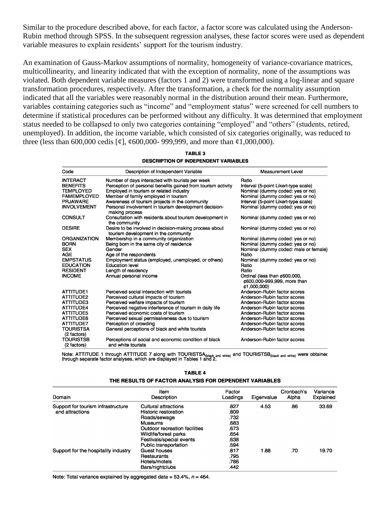Similar to the procedure described above, for each factor, a factor score was calculated using the Anderson-Rubin method through SPSS. In the subsequent regression analyses, these factor scores were used as dependent variable measures to explain residents' support for the tourism industry.

An examination of Gauss-Markov assumptions of normality, homogeneity of variance-covariance matrices, multicollinearity, and linearity indicated that with the exception of normality, none of the assumptions was violated. Both dependent variable measures (factors 1 and 2) were transformed using a log-linear and square transformation procedures, respectively. After the transformation, a check for the normality assumption indicated that all the variables were reasonably normal in the distribution around their mean. Furthermore, variables containing categories such as "income" and "employment status" were screened for cell numbers to determine if statistical procedures can be performed without any difficulty. It was determined that employment status needed to be collapsed to only two categories containing "employed" and "others" (students, retired, unemployed). In addition, the income variable, which consisted of six categories originally, was reduced to three (less than 600,000 cedis [¢],  $\mathcal{L}600,000$ -999,999, and more than  $\mathcal{L}1,000,000$ ).

| <b>DESCRIPTION OF INDEPENDENT VARIABLES</b> |                                                                                                |                                                                            |  |  |
|---------------------------------------------|------------------------------------------------------------------------------------------------|----------------------------------------------------------------------------|--|--|
| Code                                        | Description of Independent Variable                                                            | <b>Measurement Level</b>                                                   |  |  |
| <b>INTERACT</b>                             | Number of days interacted with tourists per week                                               | Ratio                                                                      |  |  |
| <b>BENEFITS</b>                             | Perception of personal benefits gained from tourism activity                                   | Interval (5-point Likert-type scale)                                       |  |  |
| <b>TEMPLOYED</b>                            | Employed in tourism or related industry                                                        | Nominal (dummy coded: yes or no)                                           |  |  |
| <b>FAMEMPLOYED</b>                          | Member of family employed in tourism                                                           | Nominal (dummy coded: yes or no)                                           |  |  |
| <b>PRJAWARE</b>                             | Awareness of tourism projects in the community                                                 | Interval (5-point Likert-type scale)                                       |  |  |
| <b>INVOLVEMENT</b>                          | Personal involvement in tourism development decision-<br>making process                        | Nominal (dummy coded: yes or no)                                           |  |  |
| <b>CONSULT</b>                              | Consultation with residents about tourism development in<br>the community                      | Nominal (dummy coded: yes or no)                                           |  |  |
| <b>DESIRE</b>                               | Desire to be involved in decision-making process about<br>tourism development in the community | Nominal (dummy coded: yes or no)                                           |  |  |
| <b>ORGANIZATION</b>                         | Membership in a community organization                                                         | Nominal (dummy coded: yes or no)                                           |  |  |
| <b>BORN</b>                                 | Being born in the same city of residence                                                       | Nominal (dummy coded: yes or no)                                           |  |  |
| <b>SEX</b>                                  | Gender                                                                                         | Nominal (dummy coded: male or female)                                      |  |  |
| <b>AGE</b>                                  | Age of the respondents                                                                         | Ratio                                                                      |  |  |
| <b>EMPSTATUS</b>                            | Employment status (employed, unemployed, or others)                                            | Nominal (dummy coded: yes or no)                                           |  |  |
| <b>EDUCATION</b>                            | <b>Education level</b>                                                                         | Ratio                                                                      |  |  |
| <b>RESIDENT</b>                             | Length of residency                                                                            | Ratio                                                                      |  |  |
| <b>INCOME</b>                               | Annual personal income                                                                         | Ordinal (less than ¢600,000,<br>¢600,000-999,999, more than<br>c1,000,000) |  |  |
| <b>ATTITUDE1</b>                            | Perceived social interaction with tourists                                                     | Anderson-Rubin factor scores                                               |  |  |
| ATTITUDE2                                   | Perceived cultural impacts of tourism                                                          | Anderson-Rubin factor scores                                               |  |  |
| <b>ATTITUDE3</b>                            | Perceived welfare impacts of tourism                                                           | Anderson-Rubin factor scores                                               |  |  |
| <b>ATTITUDE4</b>                            | Perceived negative interference of tourism in daily life                                       | Anderson-Rubin factor scores                                               |  |  |
| <b>ATTITUDE5</b>                            | Perceived economic costs of tourism                                                            | Anderson-Rubin factor scores                                               |  |  |

| <b>TABLE 3</b>                              |  |
|---------------------------------------------|--|
| <b>DESCRIPTION OF INDEPENDENT VARIABLES</b> |  |

Note: ATTITUDE 1 through ATTITUDE 7 along with TOURISTSA<sub>(black and white)</sub> and TOURISTSB<sub>(black and white)</sub> were obtained through separate factor analyses, which are displayed in Tables 1 and 2.

Anderson-Rubin factor scores

Anderson-Rubin factor scores

Anderson-Rubin factor scores

Anderson-Rubin factor scores

Perceived sexual permissiveness due to tourism

General perceptions of black and white tourists

Perceptions of social and economic condition of black

Perception of crowding

and white tourists

| Domain                               | Item<br>Description           | Factor<br>Loadings | Eigenvalue | Cronbach's<br>Alpha | Variance<br>Explained |
|--------------------------------------|-------------------------------|--------------------|------------|---------------------|-----------------------|
| Support for tourism infrastructure   | <b>Cultural attractions</b>   | .827               | 4.53       | .86                 | 33.69                 |
| and attractions                      | Historic restoration          | .809               |            |                     |                       |
|                                      | Roads/sewage                  | .732               |            |                     |                       |
|                                      | Museums                       | .683               |            |                     |                       |
|                                      | Outdoor recreation facilities | .673               |            |                     |                       |
|                                      | Wildlife/forest parks         | .654               |            |                     |                       |
|                                      | Festivals/special events      | .638               |            |                     |                       |
|                                      | Public transportation         | .594               |            |                     |                       |
| Support for the hospitality industry | Guest houses                  | .817               | 1.88       | .70                 | 19.70                 |
|                                      | Restaurants                   | .795               |            |                     |                       |
|                                      | Hotels/motels                 | .786               |            |                     |                       |
|                                      | Bars/nightclubs               | 442                |            |                     |                       |

**TABLE 4** THE RESULTS OF FACTOR ANALYSIS FOR DEPENDENT VARIABLES

Note: Total variance explained by aggregated data = 53.4%,  $n = 464$ .

**ATTITUDE6** 

**ATTITUDE7** 

**TOURISTSA** 

(2 factors) **TOURISTSB** 

(2 factors)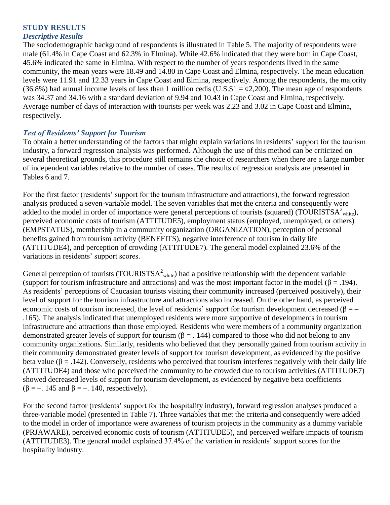# **STUDY RESULTS**

### *Descriptive Results*

The sociodemographic background of respondents is illustrated in Table 5. The majority of respondents were male (61.4% in Cape Coast and 62.3% in Elmina). While 42.6% indicated that they were born in Cape Coast, 45.6% indicated the same in Elmina. With respect to the number of years respondents lived in the same community, the mean years were 18.49 and 14.80 in Cape Coast and Elmina, respectively. The mean education levels were 11.91 and 12.33 years in Cape Coast and Elmina, respectively. Among the respondents, the majority (36.8%) had annual income levels of less than 1 million cedis (U.S.\$1 =  $\varphi$ 2,200). The mean age of respondents was 34.37 and 34.16 with a standard deviation of 9.94 and 10.43 in Cape Coast and Elmina, respectively. Average number of days of interaction with tourists per week was 2.23 and 3.02 in Cape Coast and Elmina, respectively.

# *Test of Residents' Support for Tourism*

To obtain a better understanding of the factors that might explain variations in residents' support for the tourism industry, a forward regression analysis was performed. Although the use of this method can be criticized on several theoretical grounds, this procedure still remains the choice of researchers when there are a large number of independent variables relative to the number of cases. The results of regression analysis are presented in Tables 6 and 7.

For the first factor (residents' support for the tourism infrastructure and attractions), the forward regression analysis produced a seven-variable model. The seven variables that met the criteria and consequently were added to the model in order of importance were general perceptions of tourists (squared) (TOURISTSA<sup>2</sup><sub>white</sub>), perceived economic costs of tourism (ATTITUDE5), employment status (employed, unemployed, or others) (EMPSTATUS), membership in a community organization (ORGANIZATION), perception of personal benefits gained from tourism activity (BENEFITS), negative interference of tourism in daily life (ATTITUDE4), and perception of crowding (ATTITUDE7). The general model explained 23.6% of the variations in residents' support scores.

General perception of tourists (TOURISTSA<sup>2</sup> white) had a positive relationship with the dependent variable (support for tourism infrastructure and attractions) and was the most important factor in the model ( $\beta$  = .194). As residents' perceptions of Caucasian tourists visiting their community increased (perceived positively), their level of support for the tourism infrastructure and attractions also increased. On the other hand, as perceived economic costs of tourism increased, the level of residents' support for tourism development decreased ( $\beta = -$ .165). The analysis indicated that unemployed residents were more supportive of developments in tourism infrastructure and attractions than those employed. Residents who were members of a community organization demonstrated greater levels of support for tourism ( $\beta$  = . 144) compared to those who did not belong to any community organizations. Similarly, residents who believed that they personally gained from tourism activity in their community demonstrated greater levels of support for tourism development, as evidenced by the positive beta value ( $\beta$  = .142). Conversely, residents who perceived that tourism interferes negatively with their daily life (ATTITUDE4) and those who perceived the community to be crowded due to tourism activities (ATTITUDE7) showed decreased levels of support for tourism development, as evidenced by negative beta coefficients  $(\beta = -145 \text{ and } \beta = -140, \text{ respectively}).$ 

For the second factor (residents' support for the hospitality industry), forward regression analyses produced a three-variable model (presented in Table 7). Three variables that met the criteria and consequently were added to the model in order of importance were awareness of tourism projects in the community as a dummy variable (PRJAWARE), perceived economic costs of tourism (ATTITUDE5), and perceived welfare impacts of tourism (ATTITUDE3). The general model explained 37.4% of the variation in residents' support scores for the hospitality industry.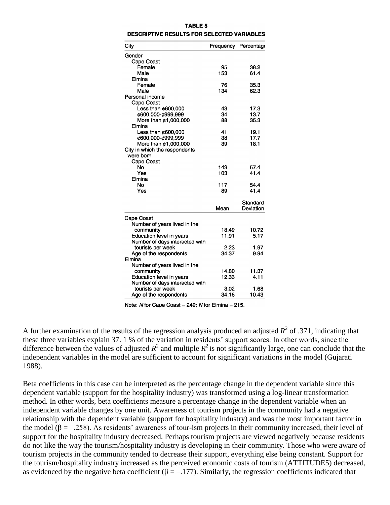#### **TABLE 5**

#### **DESCRIPTIVE RESULTS FOR SELECTED VARIABLES**

| City                           | Frequency | Percentage |
|--------------------------------|-----------|------------|
| Gender                         |           |            |
| Cape Coast                     |           |            |
| Female                         | 95        | 38.2       |
| Male                           | 153       | 61.4       |
| Elmina                         |           |            |
| Female                         | 76        | 35.3       |
| Male                           | 134       | 62.3       |
| Personal income                |           |            |
| Cape Coast                     |           |            |
| Less than $¢600,000$           | 43        | 17.3       |
| ¢600,000-¢999,999              | 34        | 13.7       |
| More than ¢1,000,000           | 88        | 35.3       |
| Elmina                         |           |            |
| Less than ¢600,000             | 41        | 19.1       |
| ¢600,000-¢999,999              | 38        | 17.7       |
| More than ¢1,000,000           | 39        | 18.1       |
| City in which the respondents  |           |            |
| were born                      |           |            |
| Cape Coast                     |           |            |
| Nο                             | 143       | 57.4       |
| Yes                            | 103       | 41.4       |
| Elmina                         |           |            |
| Nο                             | 117       | 54.4       |
| Yes                            | 89        | 41.4       |
|                                |           |            |
|                                |           | Standard   |
|                                | Mean      | Deviation  |
| Cape Coast                     |           |            |
| Number of years lived in the   |           |            |
| community                      | 18.49     | 10.72      |
| Education level in years       | 11.91     | 5.17       |
| Number of days interacted with |           |            |
| tourists per week              | 2.23      | 1.97       |
| Age of the respondents         | 34.37     | 9.94       |
| Elmina                         |           |            |
| Number of years lived in the   |           |            |
| community                      | 14.80     | 11.37      |
| Education level in years       | 12.33     | 4.11       |
| Number of days interacted with |           |            |
| tourists per week              | 3.02      | 1.68       |
|                                |           |            |

|  |  |  | Note: N for Cape Coast = 249; N for Elmina = 215. |
|--|--|--|---------------------------------------------------|
|--|--|--|---------------------------------------------------|

A further examination of the results of the regression analysis produced an adjusted  $R^2$  of .371, indicating that these three variables explain 37. 1 % of the variation in residents' support scores. In other words, since the difference between the values of adjusted  $R^2$  and multiple  $R^2$  is not significantly large, one can conclude that the independent variables in the model are sufficient to account for significant variations in the model (Gujarati 1988).

Beta coefficients in this case can be interpreted as the percentage change in the dependent variable since this dependent variable (support for the hospitality industry) was transformed using a log-linear transformation method. In other words, beta coefficients measure a percentage change in the dependent variable when an independent variable changes by one unit. Awareness of tourism projects in the community had a negative relationship with the dependent variable (support for hospitality industry) and was the most important factor in the model ( $\beta = -0.258$ ). As residents' awareness of tour-ism projects in their community increased, their level of support for the hospitality industry decreased. Perhaps tourism projects are viewed negatively because residents do not like the way the tourism/hospitality industry is developing in their community. Those who were aware of tourism projects in the community tended to decrease their support, everything else being constant. Support for the tourism/hospitality industry increased as the perceived economic costs of tourism (ATTITUDE5) decreased, as evidenced by the negative beta coefficient ( $\beta = -177$ ). Similarly, the regression coefficients indicated that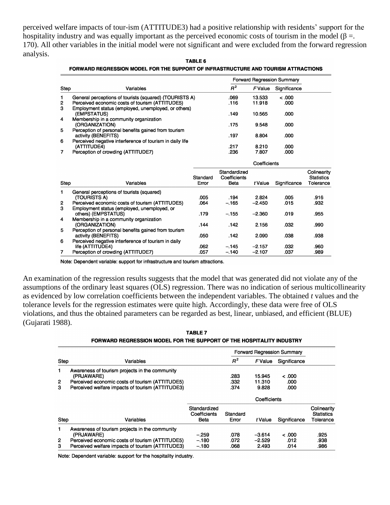perceived welfare impacts of tour-ism (ATTITUDE3) had a positive relationship with residents' support for the hospitality industry and was equally important as the perceived economic costs of tourism in the model ( $\beta$  =. 170). All other variables in the initial model were not significant and were excluded from the forward regression analysis.

|                |                                                                            |              |                              |           | <b>Forward Regression Summary</b> |                                  |
|----------------|----------------------------------------------------------------------------|--------------|------------------------------|-----------|-----------------------------------|----------------------------------|
| Step           | Variables                                                                  |              | $R^2$                        | $F$ Value | Significance                      |                                  |
| 1              | General perceptions of tourists (squared) (TOURISTS A)                     |              | .069                         | 13.533    | & 000.                            |                                  |
| $\mathbf 2$    | Perceived economic costs of tourism (ATTITUDE5)                            |              | .116                         | 11.918    | .000                              |                                  |
| 3              | Employment status (employed, unemployed, or others)<br>(EMPSTATUS)         |              | .149                         | 10.565    | .000                              |                                  |
| 4              | Membership in a community organization                                     |              |                              |           |                                   |                                  |
|                | (ORGANIZATION)                                                             |              | .175                         | 9.548     | .000                              |                                  |
| 5              | Perception of personal benefits gained from tourism<br>activity (BENEFITS) |              | .197                         | 8.804     | .000                              |                                  |
| 6              | Perceived negative interference of tourism in daily life                   |              |                              |           |                                   |                                  |
|                | (ATTITUDE4)                                                                |              | .217                         | 8.210     | .000                              |                                  |
| 7              | Perception of crowding (ATTITUDE7)                                         |              | .236                         | 7.807     | .000                              |                                  |
|                |                                                                            | Coefficients |                              |           |                                   |                                  |
|                |                                                                            | Standard     | Standardized<br>Coefficients |           |                                   | Colinearity<br><b>Statistics</b> |
| Step           | Variables                                                                  | Error        | Beta                         | t Value   | Significance                      | Tolerance                        |
| 1              | General perceptions of tourists (squared)                                  |              |                              |           |                                   |                                  |
|                | (TOURISTS A)                                                               | .005         | .194                         | 2.824     | .005                              | .916                             |
| 2              | Perceived economic costs of tourism (ATTITUDE5)                            | .064         | $-165$                       | $-2.450$  | .015                              | .932                             |
| 3              | Employment status (employed, unemployed, or                                |              |                              |           |                                   |                                  |
|                | others) (EMPSTATUS)                                                        | .179         | $-.155$                      | $-2.360$  | .019                              | .955                             |
| 4              | Membership in a community organization                                     | .144         | .142                         | 2.156     | .032                              |                                  |
| 5              | (ORGANIZATION)<br>Perception of personal benefits gained from tourism      |              |                              |           |                                   | .990                             |
|                | activity (BENEFITS)                                                        | .050         | .142                         | 2.090     | .038                              | .938                             |
| 6              | Perceived negative interference of tourism in daily                        |              |                              |           |                                   |                                  |
|                | life (ATTITUDE4)                                                           | .062         | $-.145$                      | $-2.157$  | .032                              | .960                             |
| $\overline{7}$ | Perception of crowding (ATTITUDE7)                                         | .057         | $-.140$                      | $-2.107$  | .037                              | .989                             |

TABLE 6 FORWARD REGRESSION MODEL FOR THE SUPPORT OF INFRASTRUCTURE AND TOURISM ATTRACTIONS

Note: Dependent variable: support for infrastructure and tourism attractions.

An examination of the regression results suggests that the model that was generated did not violate any of the assumptions of the ordinary least squares (OLS) regression. There was no indication of serious multicollinearity as evidenced by low correlation coefficients between the independent variables. The obtained *t* values and the tolerance levels for the regression estimates were quite high. Accordingly, these data were free of OLS violations, and thus the obtained parameters can be regarded as best, linear, unbiased, and efficient (BLUE) (Gujarati 1988).

|                     |                                                                                                     |                                      | <b>Forward Regression Summary</b> |                   |              |                                               |
|---------------------|-----------------------------------------------------------------------------------------------------|--------------------------------------|-----------------------------------|-------------------|--------------|-----------------------------------------------|
| Step                | Variables                                                                                           |                                      | $R^2$                             | <b>FValue</b>     | Significance |                                               |
| 1                   | Awareness of tourism projects in the community<br>(PRJAWARE)                                        |                                      | .283                              | 15.945            | &000.        |                                               |
| $\overline{2}$      | Perceived economic costs of tourism (ATTITUDE5)                                                     |                                      | .332                              | 11.310            | .000         |                                               |
| 3                   | Perceived welfare impacts of tourism (ATTITUDE3)                                                    |                                      | .374                              | 9.828             | .000         |                                               |
|                     |                                                                                                     |                                      |                                   | Coefficients      |              |                                               |
| Step                | Variables                                                                                           | Standardized<br>Coefficients<br>Beta | Standard<br>Error                 | t Value           | Significance | Colinearity<br><b>Statistics</b><br>Tolerance |
| 1                   | Awareness of tourism projects in the community                                                      |                                      |                                   |                   |              |                                               |
|                     | (PRJAWARE)                                                                                          | $-259$                               | .078                              | $-3.614$          | & 0.000      | .925                                          |
| $\overline{2}$<br>3 | Perceived economic costs of tourism (ATTITUDE5)<br>Perceived welfare impacts of tourism (ATTITUDE3) | $-.180$<br>$-.180$                   | .072<br>.068                      | $-2.529$<br>2.493 | .012<br>.014 | .938<br>.986                                  |

**TABLE 7** FORWARD REGRESSION MODEL FOR THE SUPPORT OF THE HOSPITALITY INDUSTRY

Note: Dependent variable: support for the hospitality industry.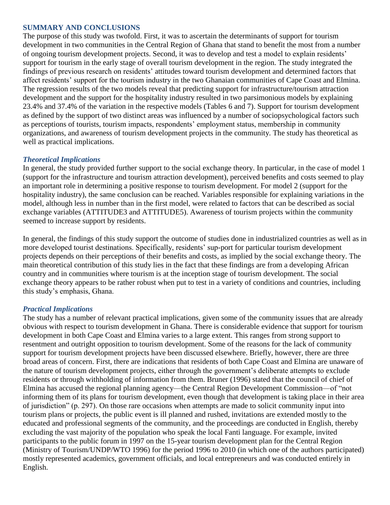### **SUMMARY AND CONCLUSIONS**

The purpose of this study was twofold. First, it was to ascertain the determinants of support for tourism development in two communities in the Central Region of Ghana that stand to benefit the most from a number of ongoing tourism development projects. Second, it was to develop and test a model to explain residents' support for tourism in the early stage of overall tourism development in the region. The study integrated the findings of previous research on residents' attitudes toward tourism development and determined factors that affect residents' support for the tourism industry in the two Ghanaian communities of Cape Coast and Elmina. The regression results of the two models reveal that predicting support for infrastructure/tourism attraction development and the support for the hospitality industry resulted in two parsimonious models by explaining 23.4% and 37.4% of the variation in the respective models (Tables 6 and 7). Support for tourism development as defined by the support of two distinct areas was influenced by a number of sociopsychological factors such as perceptions of tourists, tourism impacts, respondents' employment status, membership in community organizations, and awareness of tourism development projects in the community. The study has theoretical as well as practical implications.

### *Theoretical Implications*

In general, the study provided further support to the social exchange theory. In particular, in the case of model 1 (support for the infrastructure and tourism attraction development), perceived benefits and costs seemed to play an important role in determining a positive response to tourism development. For model 2 (support for the hospitality industry), the same conclusion can be reached. Variables responsible for explaining variations in the model, although less in number than in the first model, were related to factors that can be described as social exchange variables (ATTITUDE3 and ATTITUDE5). Awareness of tourism projects within the community seemed to increase support by residents.

In general, the findings of this study support the outcome of studies done in industrialized countries as well as in more developed tourist destinations. Specifically, residents' sup-port for particular tourism development projects depends on their perceptions of their benefits and costs, as implied by the social exchange theory. The main theoretical contribution of this study lies in the fact that these findings are from a developing African country and in communities where tourism is at the inception stage of tourism development. The social exchange theory appears to be rather robust when put to test in a variety of conditions and countries, including this study's emphasis, Ghana.

### *Practical Implications*

The study has a number of relevant practical implications, given some of the community issues that are already obvious with respect to tourism development in Ghana. There is considerable evidence that support for tourism development in both Cape Coast and Elmina varies to a large extent. This ranges from strong support to resentment and outright opposition to tourism development. Some of the reasons for the lack of community support for tourism development projects have been discussed elsewhere. Briefly, however, there are three broad areas of concern. First, there are indications that residents of both Cape Coast and Elmina are unaware of the nature of tourism development projects, either through the government's deliberate attempts to exclude residents or through withholding of information from them. Bruner (1996) stated that the council of chief of Elmina has accused the regional planning agency—the Central Region Development Commission—of "not" informing them of its plans for tourism development, even though that development is taking place in their area of jurisdiction" (p. 297). On those rare occasions when attempts are made to solicit community input into tourism plans or projects, the public event is ill planned and rushed, invitations are extended mostly to the educated and professional segments of the community, and the proceedings are conducted in English, thereby excluding the vast majority of the population who speak the local Fanti language. For example, invited participants to the public forum in 1997 on the 15-year tourism development plan for the Central Region (Ministry of Tourism/UNDP/WTO 1996) for the period 1996 to 2010 (in which one of the authors participated) mostly represented academics, government officials, and local entrepreneurs and was conducted entirely in English.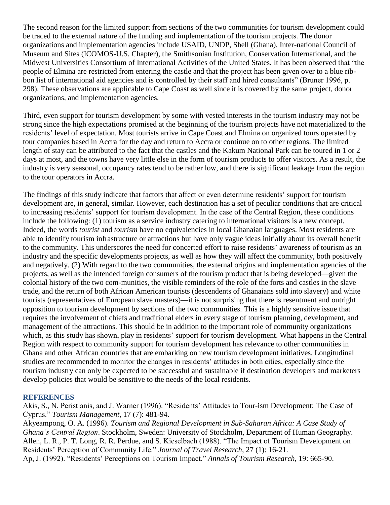The second reason for the limited support from sections of the two communities for tourism development could be traced to the external nature of the funding and implementation of the tourism projects. The donor organizations and implementation agencies include USAID, UNDP, Shell (Ghana), Inter-national Council of Museum and Sites (ICOMOS-U.S. Chapter), the Smithsonian Institution, Conservation International, and the Midwest Universities Consortium of International Activities of the United States. It has been observed that "the people of Elmina are restricted from entering the castle and that the project has been given over to a blue ribbon list of international aid agencies and is controlled by their staff and hired consultants" (Bruner 1996, p. 298). These observations are applicable to Cape Coast as well since it is covered by the same project, donor organizations, and implementation agencies.

Third, even support for tourism development by some with vested interests in the tourism industry may not be strong since the high expectations promised at the beginning of the tourism projects have not materialized to the residents' level of expectation. Most tourists arrive in Cape Coast and Elmina on organized tours operated by tour companies based in Accra for the day and return to Accra or continue on to other regions. The limited length of stay can be attributed to the fact that the castles and the Kakum National Park can be toured in 1 or 2 days at most, and the towns have very little else in the form of tourism products to offer visitors. As a result, the industry is very seasonal, occupancy rates tend to be rather low, and there is significant leakage from the region to the tour operators in Accra.

The findings of this study indicate that factors that affect or even determine residents' support for tourism development are, in general, similar. However, each destination has a set of peculiar conditions that are critical to increasing residents' support for tourism development. In the case of the Central Region, these conditions include the following: (1) tourism as a service industry catering to international visitors is a new concept. Indeed, the words *tourist* and *tourism* have no equivalencies in local Ghanaian languages. Most residents are able to identify tourism infrastructure or attractions but have only vague ideas initially about its overall benefit to the community. This underscores the need for concerted effort to raise residents' awareness of tourism as an industry and the specific developments projects, as well as how they will affect the community, both positively and negatively. (2) With regard to the two communities, the external origins and implementation agencies of the projects, as well as the intended foreign consumers of the tourism product that is being developed—given the colonial history of the two com-munities, the visible reminders of the role of the forts and castles in the slave trade, and the return of both African American tourists (descendents of Ghanaians sold into slavery) and white tourists (representatives of European slave masters)—it is not surprising that there is resentment and outright opposition to tourism development by sections of the two communities. This is a highly sensitive issue that requires the involvement of chiefs and traditional elders in every stage of tourism planning, development, and management of the attractions. This should be in addition to the important role of community organizations which, as this study has shown, play in residents' support for tourism development. What happens in the Central Region with respect to community support for tourism development has relevance to other communities in Ghana and other African countries that are embarking on new tourism development initiatives. Longitudinal studies are recommended to monitor the changes in residents' attitudes in both cities, especially since the tourism industry can only be expected to be successful and sustainable if destination developers and marketers develop policies that would be sensitive to the needs of the local residents.

### **REFERENCES**

Akis, S., N. Peristianis, and J. Warner (1996). "Residents' Attitudes to Tour-ism Development: The Case of Cyprus.‖ *Tourism Management*, 17 (7): 481-94.

Akyeampong, O. A. (1996). *Tourism and Regional Development in Sub-Saharan Africa: A Case Study of Ghana's Central Region*. Stockholm, Sweden: University of Stockholm, Department of Human Geography. Allen, L. R., P. T. Long, R. R. Perdue, and S. Kieselbach (1988). "The Impact of Tourism Development on Residents' Perception of Community Life." *Journal of Travel Research*, 27 (1): 16-21. Ap, J. (1992). "Residents' Perceptions on Tourism Impact." *Annals of Tourism Research*, 19: 665-90.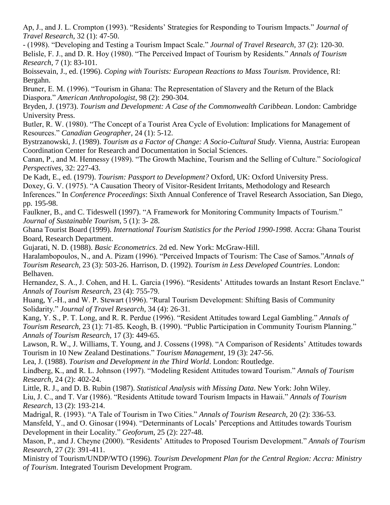Ap, J., and J. L. Crompton (1993). "Residents' Strategies for Responding to Tourism Impacts." *Journal of Travel Research*, 32 (1): 47-50.

- (1998). ―Developing and Testing a Tourism Impact Scale.‖ *Journal of Travel Research*, 37 (2): 120-30. Belisle, F. J., and D. R. Hoy (1980). "The Perceived Impact of Tourism by Residents." Annals of Tourism *Research*, 7 (1): 83-101.

Boissevain, J., ed. (1996). *Coping with Tourists: European Reactions to Mass Tourism*. Providence, RI: Bergahn.

Bruner, E. M. (1996). "Tourism in Ghana: The Representation of Slavery and the Return of the Black Diaspora.‖ *American Anthropologist*, 98 (2): 290-304.

Bryden, J. (1973). *Tourism and Development: A Case of the Commonwealth Caribbean*. London: Cambridge University Press.

Butler, R. W. (1980). "The Concept of a Tourist Area Cycle of Evolution: Implications for Management of Resources.‖ *Canadian Geographer*, 24 (1): 5-12.

Bystrzanowski, J. (1989). *Tourism as a Factor of Change: A Socio-Cultural Study*. Vienna, Austria: European Coordination Center for Research and Documentation in Social Sciences.

Canan, P., and M. Hennessy (1989). "The Growth Machine, Tourism and the Selling of Culture." *Sociological Perspectives*, 32: 227-43.

De Kadt, E., ed. (1979). *Tourism: Passport to Development?* Oxford, UK: Oxford University Press. Doxey, G. V. (1975). "A Causation Theory of Visitor-Resident Irritants, Methodology and Research Inferences.‖ In *Conference Proceedings*: Sixth Annual Conference of Travel Research Association, San Diego, pp. 195-98.

Faulkner, B., and C. Tideswell (1997). "A Framework for Monitoring Community Impacts of Tourism." *Journal of Sustainable Tourism*, 5 (1): 3- 28.

Ghana Tourist Board (1999). *International Tourism Statistics for the Period 1990-1998*. Accra: Ghana Tourist Board, Research Department.

Gujarati, N. D. (1988). *Basic Econometrics*. 2d ed. New York: McGraw-Hill.

Haralambopoulos, N., and A. Pizam (1996). "Perceived Impacts of Tourism: The Case of Samos."*Annals of Tourism Research*, 23 (3): 503-26. Harrison, D. (1992). *Tourism in Less Developed Countries*. London: Belhaven.

Hernandez, S. A., J. Cohen, and H. L. Garcia (1996). "Residents' Attitudes towards an Instant Resort Enclave." *Annals of Tourism Research*, 23 (4): 755-79.

Huang, Y.-H., and W. P. Stewart (1996). "Rural Tourism Development: Shifting Basis of Community Solidarity.‖ *Journal of Travel Research*, 34 (4): 26-31.

Kang, Y. S., P. T. Long, and R. R. Perdue (1996). "Resident Attitudes toward Legal Gambling." *Annals of Tourism Research*, 23 (1): 71-85. Keogh, B. (1990). "Public Participation in Community Tourism Planning." *Annals of Tourism Research*, 17 (3): 449-65.

Lawson, R. W., J. Williams, T. Young, and J. Cossens (1998). "A Comparison of Residents' Attitudes towards Tourism in 10 New Zealand Destinations.‖ *Tourism Management*, 19 (3): 247-56.

Lea, J. (1988). *Tourism and Development in the Third World*. London: Routledge.

Lindberg, K., and R. L. Johnson (1997). "Modeling Resident Attitudes toward Tourism." *Annals of Tourism Research*, 24 (2): 402-24.

Little, R. J., and D. B. Rubin (1987). *Statistical Analysis with Missing Data*. New York: John Wiley. Liu, J. C., and T. Var (1986). "Residents Attitude toward Tourism Impacts in Hawaii." *Annals of Tourism Research*, 13 (2): 193-214.

Madrigal, R. (1993). "A Tale of Tourism in Two Cities." Annals of Tourism Research, 20 (2): 336-53. Mansfeld, Y., and O. Ginosar (1994). "Determinants of Locals' Perceptions and Attitudes towards Tourism

Development in their Locality." *Geoforum*, 25 (2): 227-48.

Mason, P., and J. Cheyne (2000). "Residents' Attitudes to Proposed Tourism Development." *Annals of Tourism Research*, 27 (2): 391-411.

Ministry of Tourism/UNDP/WTO (1996). *Tourism Development Plan for the Central Region: Accra: Ministry of Tourism*. Integrated Tourism Development Program.